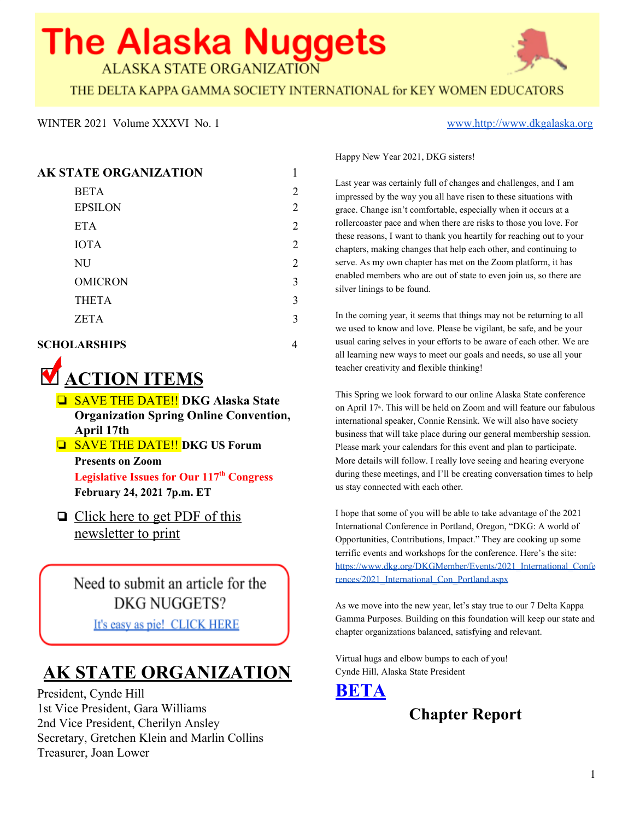# **The Alaska Nuggets**

**ALASKA STATE ORGANIZATION** 



THE DELTA KAPPA GAMMA SOCIETY INTERNATIONAL for KEY WOMEN EDUCATORS

#### WINTER 2021 Volume XXXVI No. 1 [www.http://www.dkgalaska.org](http://www.dkgalaska.org/)

Happy New Year 2021, DKG sisters!

Last year was certainly full of changes and challenges, and I am impressed by the way you all have risen to these situations with grace. Change isn't comfortable, especially when it occurs at a rollercoaster pace and when there are risks to those you love. For these reasons, I want to thank you heartily for reaching out to your chapters, making changes that help each other, and continuing to serve. As my own chapter has met on the Zoom platform, it has enabled members who are out of state to even join us, so there are silver linings to be found.

In the coming year, it seems that things may not be returning to all we used to know and love. Please be vigilant, be safe, and be your usual caring selves in your efforts to be aware of each other. We are all learning new ways to meet our goals and needs, so use all your teacher creativity and flexible thinking!

This Spring we look forward to our online Alaska State conference on April  $17<sup>th</sup>$ . This will be held on Zoom and will feature our fabulous international speaker, Connie Rensink. We will also have society business that will take place during our general membership session. Please mark your calendars for this event and plan to participate. More details will follow. I really love seeing and hearing everyone during these meetings, and I'll be creating conversation times to help us stay connected with each other.

I hope that some of you will be able to take advantage of the 2021 International Conference in Portland, Oregon, "DKG: A world of Opportunities, Contributions, Impact." They are cooking up some terrific events and workshops for the conference. Here's the site: [https://www.dkg.org/DKGMember/Events/2021\\_International\\_Confe](https://www.dkg.org/DKGMember/Events/2021_International_Conferences/2021_International_Con_Portland.aspx) [rences/2021\\_International\\_Con\\_Portland.aspx](https://www.dkg.org/DKGMember/Events/2021_International_Conferences/2021_International_Con_Portland.aspx)

As we move into the new year, let's stay true to our 7 Delta Kappa Gamma Purposes. Building on this foundation will keep our state and chapter organizations balanced, satisfying and relevant.

Virtual hugs and elbow bumps to each of you! Cynde Hill, Alaska State President



#### **AK STATE ORGANIZATION** 1

| <b>BETA</b>    | 2              |
|----------------|----------------|
| <b>EPSILON</b> | 2              |
| <b>ETA</b>     | 2              |
| <b>IOTA</b>    | $\overline{2}$ |
| NU             | 2              |
| <b>OMICRON</b> | 3              |
| <b>THETA</b>   | 3              |
| <b>ZETA</b>    | 3              |
|                |                |

#### **SCHOLARSHIPS** 4



- ❏ SAVE THE DATE!! **DKG Alaska State Organization Spring Online Convention, April 17th**
- ❏ SAVE THE DATE!! **DKG US Forum Presents on Zoom**

**Legislative Issues for Our 117 th Congress February 24, 2021 7p.m. ET**

❏ [Click](https://documentcloud.adobe.com/link/review?uri=urn:aaid:scds:US:a5168f8c-7244-4d3a-9379-3a93c8c8ac82) here to get PDF of this [newsletter](https://documentcloud.adobe.com/link/review?uri=urn:aaid:scds:US:a5168f8c-7244-4d3a-9379-3a93c8c8ac82) to print

Need to submit an article for the **DKG NUGGETS?** 

It's easy as pie! CLICK HERE

# **AK STATE ORGANIZATION**

President, Cynde Hill 1st Vice President, Gara Williams 2nd Vice President, Cherilyn Ansley Secretary, Gretchen Klein and Marlin Collins Treasurer, Joan Lower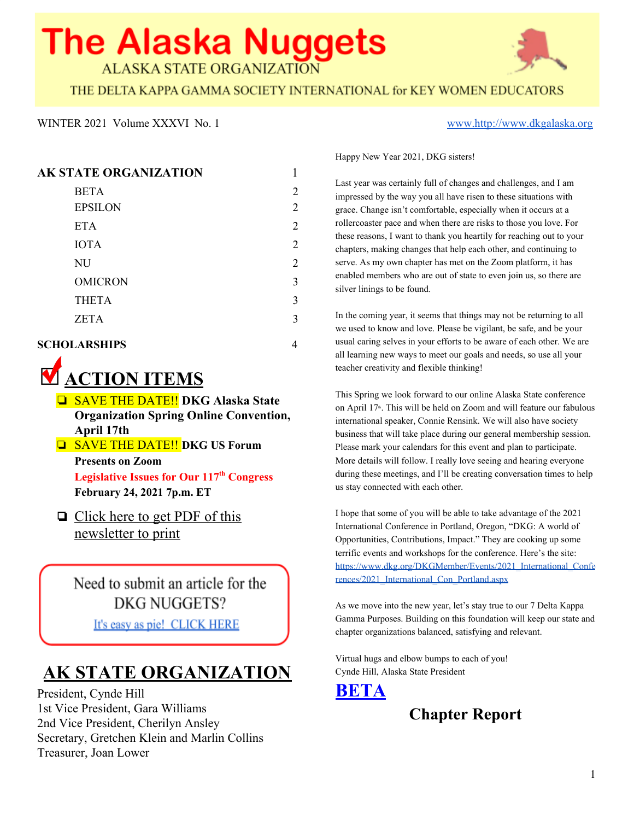

#### **EPSILON**

### **Chapter Report**



### **ETA**

#### **Chapter Report**



# **IOTA**

### **Chapter Report**

Submitted By Jan Love and Marcia Hirai

The Iota chapter in Sitka has adjusted well to the Zoom format for meetings. We do, of course, miss in person communication, but we are thankful for the ability to take care of chapter business, share meaningful program presentations and catch up with each other. The dilemma for us was how to adjust for the annual Santa Sale. The Santa Sale is when we all bring crafts, gifts, food items and fun stuff to the December meeting and silently bid for the items. This event serves as the fundraiser for our scholarship fund and has served us well. As usual a practical solution was devised by some of our sisters. We were all advised to donate a sum approximate to our usual expenses and /or purchases by the December Zoom meeting date. We found out that we raised above our usual amount thanks to the consistently generous spirit of our sisterhood.

An added bonus was that we took time for all the members to share favorite holiday stories, family customs or traditions or special memories. We always say we don't take the time to learn more about each other and this was definitely a wonderful time to sit back and enjoy hearing something special about and from each of our sisters. We all left feeling very much in the spirit of the holiday and are looking forward to 2021.

# **NU**

#### **Chapter Report**

Submitted by Helen Harmon and Barb Kovarik

NU kicked off our September meeting zoom style with a book study of *A Gentleman in Moscow* hosted by sisters Jane Lister and Vicky Otte. Due to COVID, the lovely hostesses' themed lunch and snacks were not able to be enjoyed. It was also during this meeting, that our chapter unanimously voted to honor our chapter's founding sister, Wynoaka Baumgardner with reserve membership and paid dues.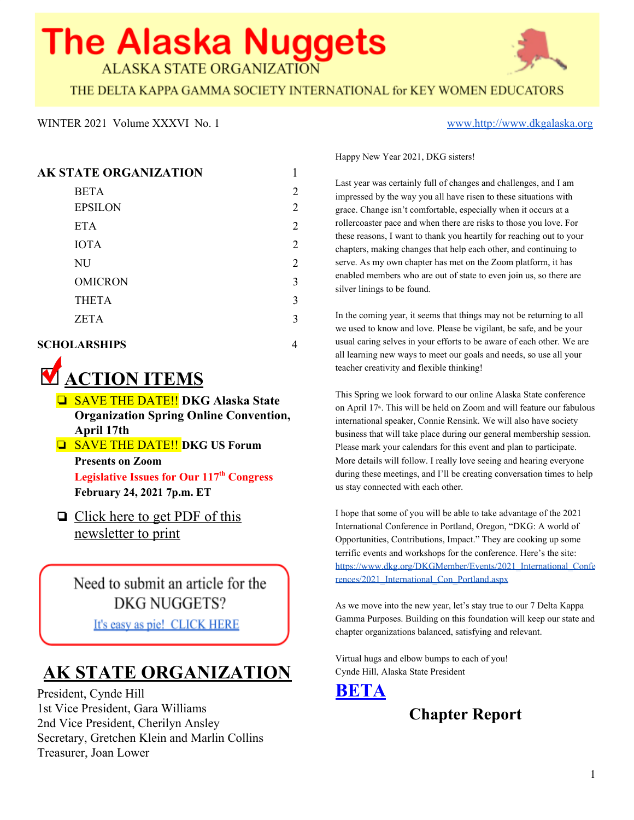In October, our sisters met via zoom (once again) to participate in viewing the DKG International Convention's Forum Event: "Embracing Diversity" presented by Greg DeShields and Nita Scott. This presented sparked some great conversation afterwards both within our chapter for the members that were present, but also to others within our professional and social circles. During this meeting, we also set plans for Thanksgiving Blessing volunteering. During this event on November 23rd, 2020, NU sisters who volunteered were able to assist in getting 310 turkeys and food boxes to Eagle River area families as well 126 leveled book bogs with 3 books in each bag!



Our October meeting also included setting plans in motion to start collections for our CIT clients in the Anchorage School District, of pillow cases and

restaurant/grocery store gift cards. This chapter project was able to provide \$510.00 in gift cards and 18 made or purchased pillow cases. This was a wonderful way to demonstrate the spirit of giving for some of our most needy students within our school district. Our last topic of discussion was one regarding one of our favorite projects, Project Linus. Many thanks go out to our sisters Clea Loudermilk and Sandy McKinnis for finding 14 polar fleece tie blanket kits with their coupons and discounts! On January  $10<sup>th</sup>$ , our chapter presented Michelle Hoyt, AK State Coordinator for Project Linus with 14 fleece tie blankets. This was a fun

project that many sisters were able to complete over the winter break.

Our sisters did not meet in November or December to be assured to practice COVID mitigation protocols by staying warm and healthy to meet in January. Our January meeting, via zoom (again!) provided us the opportunity to hear from Michelle Hoyt and share information about the Project Linus and how the blankets benefit the children to whom they are given.

As the promise of children returning to the school buildings on January 19<sup>th</sup> draws nearer, the few of us still working in school buildings are getting everything ready for their return or some are continuing the distance learning for their virtual classrooms.

Our chapter is looking forward to hosting an induction ceremony soon for our newest member, Maya Dunham. Additionally, we are looking forward to voting in another new member by our next business meeting and planning for two inductions, hopefully in person. But if we cannot be in person, we will persevere and use the powers of zoom (AGAIN!) to create a ceremony. The New Year brings promises of hope, renewal, and joy. We may not be able to do things as we once had, in the good old days of 2019, but we will still be able to be joyful and hopeful regardless of our social distance restrictions.

#### **OMICRON**

**Chapter Report**